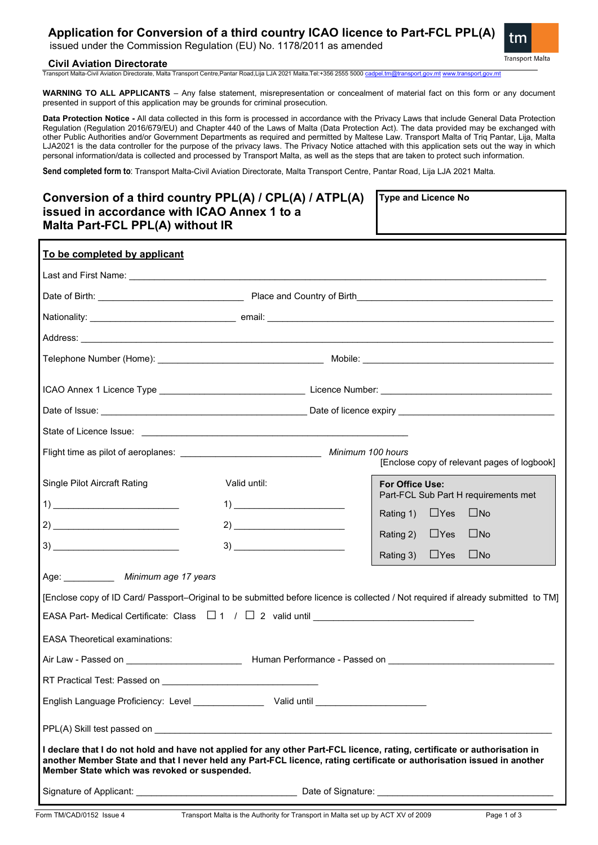# **Application for Conversion of a third country ICAO licence to Part-FCL PPL(A)**

issued under the Commission Regulation (EU) No. 1178/2011 as amended



### **Civil Aviation Directorate**

Transport Malta-Civil Aviation Directorate, Malta Transport Centre,Pantar Road,Lija LJA 2021 Malta.Tel:+356 2555 5000 [cadpel.tm@transport.gov.mt](mailto:cadpel.tm@transport.gov.mt) [www.transport.gov.mt](http://www.transport.gov.mt/)

**WARNING TO ALL APPLICANTS** – Any false statement, misrepresentation or concealment of material fact on this form or any document presented in support of this application may be grounds for criminal prosecution.

**Data Protection Notice -** All data collected in this form is processed in accordance with the Privacy Laws that include General Data Protection Regulation (Regulation 2016/679/EU) and Chapter 440 of the Laws of Malta (Data Protection Act). The data provided may be exchanged with other Public Authorities and/or Government Departments as required and permitted by Maltese Law. Transport Malta of Triq Pantar, Lija, Malta LJA2021 is the data controller for the purpose of the privacy laws. The Privacy Notice attached with this application sets out the way in which personal information/data is collected and processed by Transport Malta, as well as the steps that are taken to protect such information.

**Send completed form to**: Transport Malta-Civil Aviation Directorate, Malta Transport Centre, Pantar Road, Lija LJA 2021 Malta.

| To be completed by applicant                                                                        |                                                           |                                                                                                                                                                                                                                                     |  |
|-----------------------------------------------------------------------------------------------------|-----------------------------------------------------------|-----------------------------------------------------------------------------------------------------------------------------------------------------------------------------------------------------------------------------------------------------|--|
|                                                                                                     |                                                           |                                                                                                                                                                                                                                                     |  |
|                                                                                                     |                                                           |                                                                                                                                                                                                                                                     |  |
|                                                                                                     |                                                           |                                                                                                                                                                                                                                                     |  |
|                                                                                                     |                                                           |                                                                                                                                                                                                                                                     |  |
|                                                                                                     |                                                           |                                                                                                                                                                                                                                                     |  |
|                                                                                                     |                                                           |                                                                                                                                                                                                                                                     |  |
|                                                                                                     |                                                           |                                                                                                                                                                                                                                                     |  |
|                                                                                                     |                                                           |                                                                                                                                                                                                                                                     |  |
|                                                                                                     |                                                           | [Enclose copy of relevant pages of logbook]                                                                                                                                                                                                         |  |
| Single Pilot Aircraft Rating                                                                        | Valid until:                                              | For Office Use:<br>Part-FCL Sub Part H requirements met                                                                                                                                                                                             |  |
|                                                                                                     | $1) \underline{\hspace{20mm} \underbrace{\qquad \qquad }$ | Rating 1) $\Box$ Yes<br>$\square$ No                                                                                                                                                                                                                |  |
| $2) \underline{\hspace{2cm}}$                                                                       | $2) \underline{\hspace{2cm}}$                             | Rating 2) $\Box$ Yes<br>$\square$ No                                                                                                                                                                                                                |  |
| $3) \underline{\hspace{20mm} \qquad \qquad }$                                                       | $3) \underline{\hspace{20mm}}$                            | Rating 3) $\Box$ Yes<br>$\square$ No                                                                                                                                                                                                                |  |
| Age: _____________ Minimum age 17 years                                                             |                                                           |                                                                                                                                                                                                                                                     |  |
| <b>EASA Theoretical examinations:</b>                                                               |                                                           | [Enclose copy of ID Card/ Passport-Original to be submitted before licence is collected / Not required if already submitted to TM]                                                                                                                  |  |
|                                                                                                     |                                                           |                                                                                                                                                                                                                                                     |  |
|                                                                                                     |                                                           |                                                                                                                                                                                                                                                     |  |
| English Language Proficiency: Level ___________________ Valid until _______________________________ |                                                           |                                                                                                                                                                                                                                                     |  |
|                                                                                                     |                                                           |                                                                                                                                                                                                                                                     |  |
|                                                                                                     |                                                           |                                                                                                                                                                                                                                                     |  |
| Member State which was revoked or suspended.                                                        |                                                           | I declare that I do not hold and have not applied for any other Part-FCL licence, rating, certificate or authorisation in<br>another Member State and that I never held any Part-FCL licence, rating certificate or authorisation issued in another |  |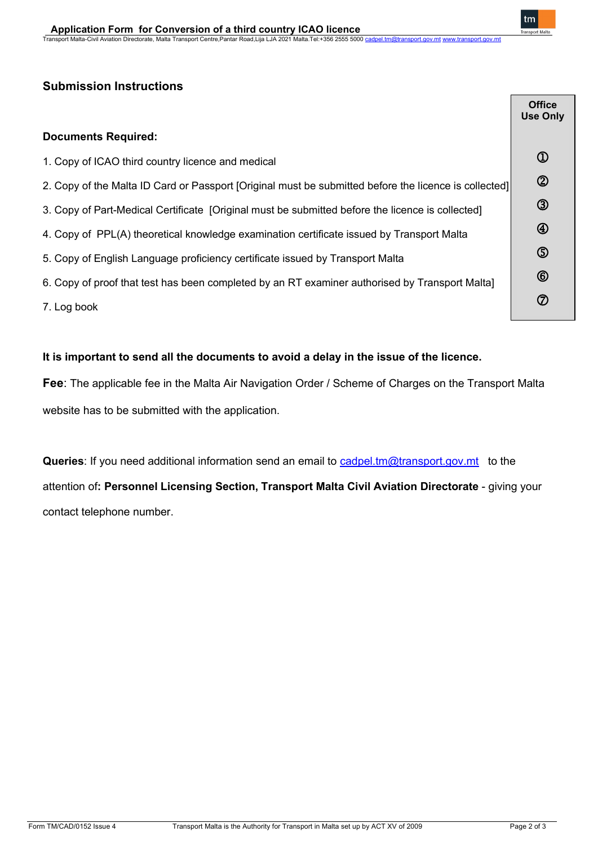# **Submission Instructions**

|                                                                                                       | <b>Office</b><br><b>Use Only</b> |  |
|-------------------------------------------------------------------------------------------------------|----------------------------------|--|
| <b>Documents Required:</b>                                                                            |                                  |  |
| 1. Copy of ICAO third country licence and medical                                                     | $^{\circledR}$                   |  |
| 2. Copy of the Malta ID Card or Passport [Original must be submitted before the licence is collected] | $\circledB$                      |  |
| 3. Copy of Part-Medical Certificate [Original must be submitted before the licence is collected]      |                                  |  |
| 4. Copy of PPL(A) theoretical knowledge examination certificate issued by Transport Malta             |                                  |  |
| 5. Copy of English Language proficiency certificate issued by Transport Malta                         |                                  |  |
| 6. Copy of proof that test has been completed by an RT examiner authorised by Transport Malta]        |                                  |  |
| 7. Log book                                                                                           | $\circledcirc$                   |  |

## **It is important to send all the documents to avoid a delay in the issue of the licence.**

**Fee**: The applicable fee in the Malta Air Navigation Order / Scheme of Charges on the Transport Malta website has to be submitted with the application.

**Queries**: If you need additional information send an email to [cadpel.tm@transport.gov.mt](mailto:cadpel.tm@transport.gov.mt) to the attention of**: Personnel Licensing Section, Transport Malta Civil Aviation Directorate** - giving your contact telephone number.